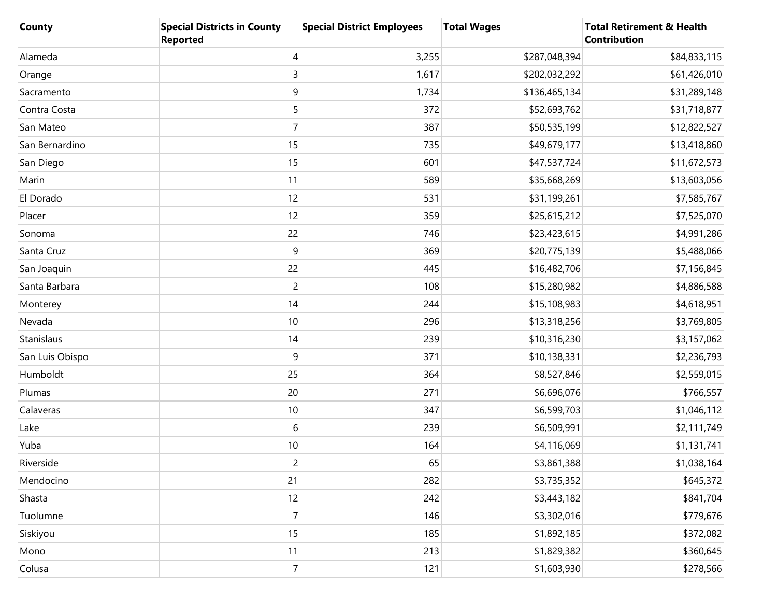| County          | <b>Special Districts in County</b><br><b>Reported</b> | <b>Special District Employees</b> | <b>Total Wages</b> | <b>Total Retirement &amp; Health</b><br><b>Contribution</b> |
|-----------------|-------------------------------------------------------|-----------------------------------|--------------------|-------------------------------------------------------------|
| Alameda         | 4                                                     | 3,255                             | \$287,048,394      | \$84,833,115                                                |
| Orange          | 3                                                     | 1,617                             | \$202,032,292      | \$61,426,010                                                |
| Sacramento      | 9                                                     | 1,734                             | \$136,465,134      | \$31,289,148                                                |
| Contra Costa    | 5                                                     | 372                               | \$52,693,762       | \$31,718,877                                                |
| San Mateo       | $\overline{7}$                                        | 387                               | \$50,535,199       | \$12,822,527                                                |
| San Bernardino  | 15                                                    | 735                               | \$49,679,177       | \$13,418,860                                                |
| San Diego       | 15                                                    | 601                               | \$47,537,724       | \$11,672,573                                                |
| Marin           | 11                                                    | 589                               | \$35,668,269       | \$13,603,056                                                |
| El Dorado       | 12                                                    | 531                               | \$31,199,261       | \$7,585,767                                                 |
| Placer          | 12                                                    | 359                               | \$25,615,212       | \$7,525,070                                                 |
| Sonoma          | 22                                                    | 746                               | \$23,423,615       | \$4,991,286                                                 |
| Santa Cruz      | $9\,$                                                 | 369                               | \$20,775,139       | \$5,488,066                                                 |
| San Joaquin     | 22                                                    | 445                               | \$16,482,706       | \$7,156,845                                                 |
| Santa Barbara   | $\overline{c}$                                        | 108                               | \$15,280,982       | \$4,886,588                                                 |
| Monterey        | 14                                                    | 244                               | \$15,108,983       | \$4,618,951                                                 |
| Nevada          | 10                                                    | 296                               | \$13,318,256       | \$3,769,805                                                 |
| Stanislaus      | 14                                                    | 239                               | \$10,316,230       | \$3,157,062                                                 |
| San Luis Obispo | 9                                                     | 371                               | \$10,138,331       | \$2,236,793                                                 |
| Humboldt        | 25                                                    | 364                               | \$8,527,846        | \$2,559,015                                                 |
| Plumas          | 20                                                    | 271                               | \$6,696,076        | \$766,557                                                   |
| Calaveras       | 10                                                    | 347                               | \$6,599,703        | \$1,046,112                                                 |
| Lake            | 6                                                     | 239                               | \$6,509,991        | \$2,111,749                                                 |
| Yuba            | 10                                                    | 164                               | \$4,116,069        | \$1,131,741                                                 |
| Riverside       | $\overline{c}$                                        | 65                                | \$3,861,388        | \$1,038,164                                                 |
| Mendocino       | 21                                                    | 282                               | \$3,735,352        | \$645,372                                                   |
| Shasta          | 12                                                    | 242                               | \$3,443,182        | \$841,704                                                   |
| Tuolumne        | $\overline{7}$                                        | 146                               | \$3,302,016        | \$779,676                                                   |
| Siskiyou        | 15                                                    | 185                               | \$1,892,185        | \$372,082                                                   |
| Mono            | 11                                                    | 213                               | \$1,829,382        | \$360,645                                                   |
| Colusa          | $\overline{7}$                                        | 121                               | \$1,603,930        | \$278,566                                                   |